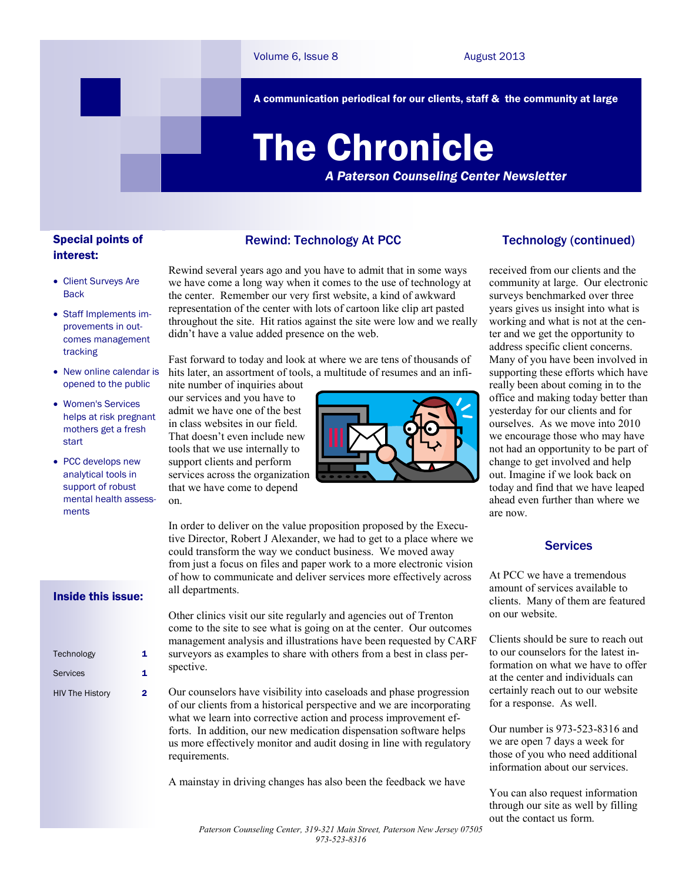A communication periodical for our clients, staff & the community at large

# The Chronicle

*A Paterson Counseling Center Newsletter*

# Special points of interest:

- Client Surveys Are **Back**
- Staff Implements improvements in outcomes management tracking
- New online calendar is opened to the public
- Women's Services helps at risk pregnant mothers get a fresh start
- PCC develops new analytical tools in support of robust mental health assessments

#### Inside this issue:

| Technology             | 1 |
|------------------------|---|
| <b>Services</b>        | 1 |
| <b>HIV The History</b> | 2 |

### Rewind: Technology At PCC

Rewind several years ago and you have to admit that in some ways we have come a long way when it comes to the use of technology at the center. Remember our very first website, a kind of awkward representation of the center with lots of cartoon like clip art pasted throughout the site. Hit ratios against the site were low and we really didn't have a value added presence on the web.

Fast forward to today and look at where we are tens of thousands of hits later, an assortment of tools, a multitude of resumes and an infi-

nite number of inquiries about our services and you have to admit we have one of the best in class websites in our field. That doesn't even include new tools that we use internally to support clients and perform services across the organization that we have come to depend on.



In order to deliver on the value proposition proposed by the Executive Director, Robert J Alexander, we had to get to a place where we could transform the way we conduct business. We moved away from just a focus on files and paper work to a more electronic vision of how to communicate and deliver services more effectively across all departments.

Other clinics visit our site regularly and agencies out of Trenton come to the site to see what is going on at the center. Our outcomes management analysis and illustrations have been requested by CARF surveyors as examples to share with others from a best in class perspective.

Our counselors have visibility into caseloads and phase progression of our clients from a historical perspective and we are incorporating what we learn into corrective action and process improvement efforts. In addition, our new medication dispensation software helps us more effectively monitor and audit dosing in line with regulatory requirements.

A mainstay in driving changes has also been the feedback we have

## Technology (continued)

received from our clients and the community at large. Our electronic surveys benchmarked over three years gives us insight into what is working and what is not at the center and we get the opportunity to address specific client concerns. Many of you have been involved in supporting these efforts which have really been about coming in to the office and making today better than yesterday for our clients and for ourselves. As we move into 2010 we encourage those who may have not had an opportunity to be part of change to get involved and help out. Imagine if we look back on today and find that we have leaped ahead even further than where we are now.

### **Services**

At PCC we have a tremendous amount of services available to clients. Many of them are featured on our website.

Clients should be sure to reach out to our counselors for the latest information on what we have to offer at the center and individuals can certainly reach out to our website for a response. As well.

Our number is 973-523-8316 and we are open 7 days a week for those of you who need additional information about our services.

You can also request information through our site as well by filling out the contact us form.